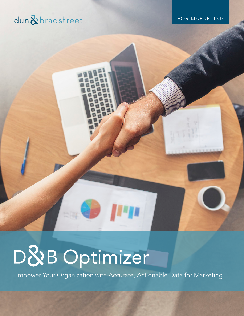# dun&bradstreet

FOR MARKETING

# D&B Optimizer

Empower Your Organization with Accurate, Actionable Data for Marketing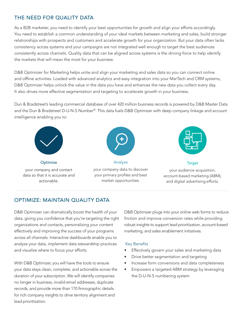# THE NEED FOR QUALITY DATA

As a B2B marketer, you need to identify your best opportunities for growth and align your efforts accordingly. You need to establish a common understanding of your ideal markets between marketing and sales, build stronger relationships with prospects and customers and accelerate growth for your organization. But your data often lacks consistency across systems and your campaigns are not integrated well enough to target the best audiences consistently across channels. Quality data that can be aligned across systems is the driving force to help identify the markets that will mean the most for your business.

D&B Optimizer for Marketing helps unite and align your marketing and sales data so you can connect online and offline activities. Loaded with advanced analytics and easy integration into your MarTech and CRM systems, D&B Optimizer helps unlock the value in the data you have and enhances the new data you collect every day. It also drives more effective segmentation and targeting to accelerate growth in your business.

Dun & Bradstreet's leading commercial database of over 420 million business records is powered by D&B Master Data and the Dun & Bradstreet D-U-N-S Number®. This data fuels D&B Optimizer with deep company linkage and account intelligence enabling you to:



**Optimize** 

your company and contact data so that it is accurate and actionable.







# OPTIMIZE: MAINTAIN QUALITY DATA

D&B Optimizer can dramatically boost the health of your data, giving you confidence that you're targeting the right organizations and contacts, personalizing your content effectively and improving the success of your programs across all channels. Interactive dashboards enable you to analyze your data, implement data stewardship practices and visualize where to focus your efforts.

With D&B Optimizer, you will have the tools to ensure your data stays clean, complete, and actionable across the duration of your subscription. We will identify companies no longer in business, invalid email addresses, duplicate records, and provide more than 170 firmographic details for rich company insights to drive territory alignment and lead prioritization.

D&B Optimizer plugs into your online web forms to reduce friction and improve conversion rates while providing robust insights to support lead prioritization, account-based marketing, and sales enablement initiatives.

#### Key Benefits

- Effectively govern your sales and marketing data
- Drive better segmentation and targeting
- Increase form conversions and data completeness
- Empowers a targeted ABM strategy by leveraging the D-U-N-S numbering system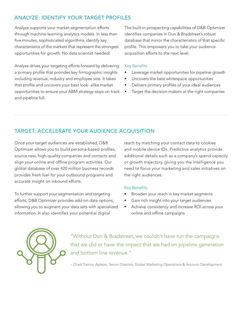# ANALYZE: IDENTIFY YOUR TARGET PROFILES

Analyze supports your market segmentation efforts through machine-learning analytics models. In less than five minutes, sophisticated algorithms identify key characteristics of the markets that represent the strongest opportunities for growth. No data scientist needed!

Analyze drives your targeting efforts forward by delivering a primary profile that provides key firmographic insights including revenue, industry and employee size. It takes that profile and uncovers your best look- alike market opportunities to ensure your ABM strategy stays on track and pipeline full.

The built-in prospecting capabilities of D&B Optimizer identifies companies in Dun & Bradstreet's robust database that mirror the characteristics of that specific profile. This empowers you to take your audience acquisition efforts to the next level.

#### Key Benefits

- Leverage market opportunities for pipeline growth
- Uncovers the best whitespace opportunities
- Delivers primary profiles of your ideal audiences
- Target the decision-makers at the right companies

# TARGET: ACCELERATE YOUR AUDIENCE ACQUISITION

Once your target audiences are established, D&B Optimizer allows you to build persona-based profiles, source new, high-quality companies and contacts and align your online and offline program activities. Our global database of over 420 million business records provides fresh fuel for your outbound programs and accurate insight on inbound efforts.

To further support your segmentation and targeting efforts, D&B Optimizer provides add-on data options, allowing you to augment your data sets with specialized information. It also identifies your potential digital

reach by matching your contact data to cookies and mobile device IDs. Predictive analytics provide additional details such as a company's spend capacity or growth trajectory, giving you the intelligence you need to focus your marketing and sales initiatives on the right audiences.

#### Key Benefits

- Broaden your reach in key market segments
- Gain rich insight into your target audiences
- Achieve consistency and increase ROI across your online and offline campaigns



"Without Dun & Bradstreet, we couldn't have run the campaigns that we did or have the impact that we had on pipeline generation and bottom line revenue."

– Chad Trainor, Aptean, Senior Director, Global Marketing Operations & Account Development